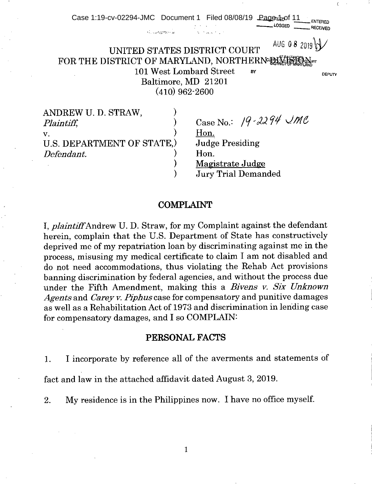| Case 1:19-cv-02294-JMC Document 1 Filed 08/08/19 |                                                                                                                                              |    | $\text{Pa}$ <sub>1</sub> $\text{Ca}$ <sub>1</sub> $\text{Ca}$ <sub>1</sub><br>LOGGFD | <b>RECEIVED</b> |
|--------------------------------------------------|----------------------------------------------------------------------------------------------------------------------------------------------|----|--------------------------------------------------------------------------------------|-----------------|
|                                                  | $\mathcal{L}_{\mathcal{F}} = \mathcal{L}_{\mathcal{F}} \mathcal{L}_{\mathcal{F}}^{\text{diss}} \mathcal{L}_{\mathcal{F}} \times \mathcal{L}$ |    |                                                                                      |                 |
| UNITED STATES DISTRICT COURT                     |                                                                                                                                              |    | AUG 08 2019                                                                          |                 |
| FOR THE DISTRICT OF MARYLAND, NORTHERN DISTRICT  |                                                                                                                                              |    |                                                                                      |                 |
|                                                  | 101 West Lombard Street                                                                                                                      | BY |                                                                                      | <b>DEPUTY</b>   |
|                                                  | Baltimore, MD 21201                                                                                                                          |    |                                                                                      |                 |
|                                                  | $(410)$ 962-2600                                                                                                                             |    |                                                                                      |                 |
| ANDREW U. D. STRAW,                              |                                                                                                                                              |    |                                                                                      |                 |
| Plaintiff,                                       |                                                                                                                                              |    | Case No.: 19-2294 UMC                                                                |                 |
| V.                                               |                                                                                                                                              |    |                                                                                      |                 |

COMPLAINT

) Magistrate Judge

) Jury Trial Demanded

U.S. DEPARTMENT OF STATE, Judge Presiding

*Defendant.* ) Hon.<br>
) Magi

I, *plaintiff Andrew* U. D. Straw, for my Complaint against the defendant herein, complain that the U.S. Department of State has constructively deprived me of my repatriation loan by discriminating against me in the process, misusing my medical certificate to claim I am not disabled and do not need accommodations, thus violating the Rehab Act provisions banning discrimination by federal agencies, and without the process due under the Fifth Amendment, making this a *Bivens v. Six Unknown Agents* and *Carey v. Piphus* case for compensatory and punitive damages as well as a Rehabilitation Act of 1973 and discrimination in lending case for compensatory damages, and I so COMPLAIN:

# PERSONAL FACTS

I incorporate by reference all of the averments and statements of 1.

fact and law in the attached affidavit dated August 3, 2019.

My residence is in the Philippines now. I have no office myself.  $2.$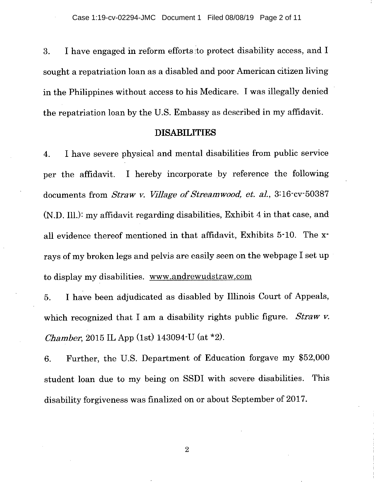3. I have engaged in reform efforts to protect disability access, and I sought a repatriation loan as a disabled and poor American citizen living in the Philippines without access to his Medicare. I was illegally denied the repatriation loan by the U.S. Embassy as described in my affidavit.

# **DISABILITIES**

I have severe physical and mental disabilities from public service 4. per the affidavit. I hereby incorporate by reference the following documents from *Straw v. Village of Streamwood, et. at,* 3:16-cv-50387 (N.D. Ill.): my affidavit regarding disabilities, Exhibit 4 in that case, and all evidence thereof mentioned in that affidavit, Exhibits 5-10. The xrays of my broken legs and pelvis are easily seen on the webpage I set up to display my disabilities. www.andrewudstraw.com

I have been adjudicated as disabled by Illinois Court of Appeals, 5. which recognized that I am a disability rights public figure. *Straw v. Chamber,* 2015 IL App (1st) 143094-U (at \*2).

Further, the U.S. Department of Education forgave my \$52,000 6. student loan due to my being on SSDI with severe disabilities. This disability forgiveness was finalized on or about September of 2017.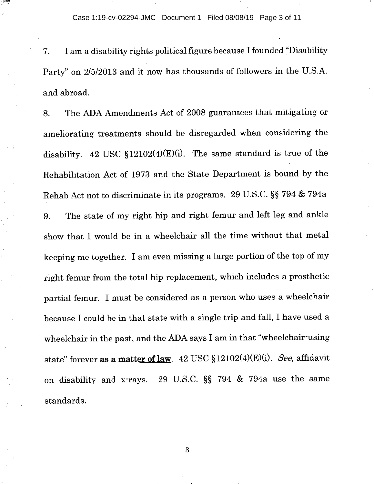Case 1:19-cv-02294-JMC Document 1 Filed 08/08/19 Page 3 of 11

I am a disability rights political figure because I founded "Disability 7. Party" on 2/5/2013 and it now has thousands of followers in the U.S.A. and abroad.

The ADA Amendments Act of 2008 guarantees that mitigating or 8. ameliorating treatments should be disregarded when considering the disability. 42 USC  $$12102(4)(E)(i)$ . The same standard is true of the Rehabilitation Act of 1973 and the State Department is bound by the Rehab Act not to discriminate in its programs. 29 U.S.C. §§ 794 & 794a 9. The state of my right hip and right femur and left leg and ankle show that I would be in a wheelchair all the time without that metal keeping me together. I am even missing a large portion of the top of my right femur from the total hip replacement, which includes a prosthetic partial femur. I must be considered as a person who uses a wheelchair because I could be in that state with a single trip and fall, I have used a wheelchair in the past, and the ADA says I am in that "wheelchair-using state" forever as a matter of law. 42 USC §12102(4)(E)(i). See, affidavit on disability and x-rays. 29 U.S.C. §§ 794 & 794a use the same standards.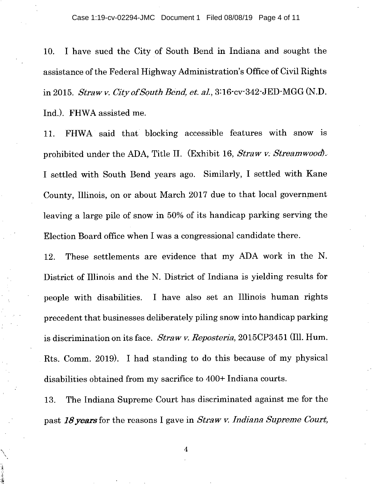I have sued the City of South Bend in Indiana and sought the 10. assistance of the Federal Highway Administration's Office of Civil Rights in 2015. *Straw v. City of South Bend, et. al.,* 3:16-cv-342-JED-MGG (N.D. Ind.). FHWA assisted me.

FHWA said that blocking accessible features with snow is 11. prohibited under the ADA, Title II. (Exhibit 16, *Straw v. Streamwood).*  I settled with South Bend years ago. Similarly, I settled with Kane County, Illinois, on or about March 2017 due to that local government leaving a large pile of snow in 50% of its handicap parking serving the Election Board office when I was a congressional candidate there.

These settlements are evidence that my ADA work in the N. 12. District of Illinois and the N. District of Indiana is yielding results for people with disabilities. I have also set an Illinois human rights precedent that businesses deliberately piling snow into handicap parking is discrimination on its face. *Straw v. Reposteria,* 2015CP3451 (Ill. Hum. fits. Comm. 2019). I had standing to do this because of my physical disabilities obtained from my sacrifice to 400+ Indiana courts.

The Indiana Supreme Court has discriminated against me for the 13. past *18 years* for the reasons I gave in *Straw v. Indiana Supreme Court,*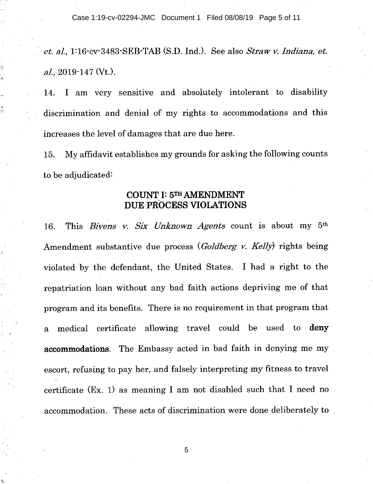Case 1:19-cv-02294-JMC Document 1 Filed 08/08/19 Page 5 of 11

*et. al,* 1:16-cv-3483-SEB-TAB (S.D. Ind.). See also *Straw v. Indiana, et. at,* 2019-147 (Vt.).

I am very sensitive and absolutely intolerant to disability 14. discrimination and denial of my rights to accommodations and this increases the level of damages that are due here.

My affidavit establishes my grounds for asking the following counts 15. to be adjudicated:

# **COUNT I: 5TH AMENDMENT DUE PROCESS VIOLATIONS**

This *Bivens v. Six Unknown Agents* count is about my 5th 16. Amendment substantive due process *(Goldberg v. Kelly)* rights being violated by the defendant, the United States. I had a right to the repatriation loan without any bad faith actions depriving me of that program and its benefits. There is no requirement in that program that a medical certificate allowing travel could be used to **deny accommodations.** The Embassy acted in bad faith in denying me my escort, refusing to pay her, and falsely interpreting my fitness to travel certificate (Ex. 1) as meaning I am not disabled such that I need no accommodation. These acts of discrimination were done deliberately to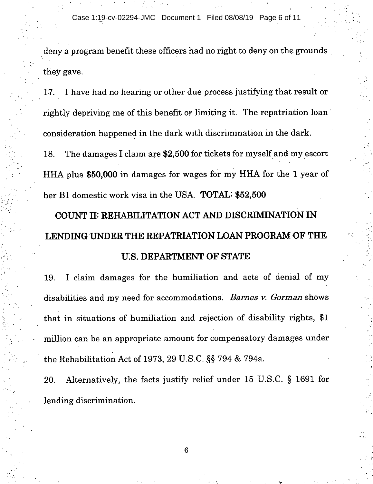Case 1:19-cv-02294-JMC Document 1 Filed 08/08/19 Page 6 of 11

deny a program benefit these officers had no right to deny on the grounds they gave.

I have had no hearing or other due process justifying that result or 17. rightly depriving me of this benefit or limiting it. The repatriation loan consideration happened in the dark with discrimination in the dark.

The damages I claim are \$2,500 for tickets for myself and my escort 18. HHA plus \$50,000 in damages for wages for my HHA for the 1 year of her B1 domestic work visa in the USA. **TOTAL: \$52,500** 

# **COUNT H: REHABILITATION ACT AND DISCRIMINATION IN LENDING UNDER THE REPATRIATION LOAN PROGRAM OF THE U.S. DEPARTMENT OF STATE**

I claim damages for the humiliation and acts of denial of my 19. disabilities and my need for accommodations. *Barnes v. Gorman* shows that in situations of humiliation and rejection of disability rights, \$1 million can be an appropriate amount for compensatory damages under the Rehabilitation Act of 1973, 29 U.S.C. §§ 794 & 794a.

Alternatively, the facts justify relief under 15 U.S.C. § 1691 for 20. lending discrimination.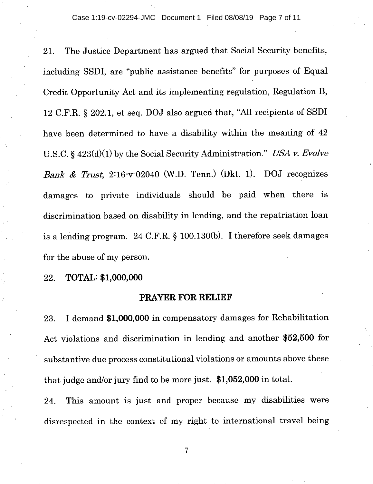Case 1:19-cv-02294-JMC Document 1 Filed 08/08/19 Page 7 of 11

The Justice Department has argued that Social Security benefits, 21. including SSDI, are "public assistance benefits" for purposes of Equal Credit Opportunity Act and its implementing regulation, Regulation B, 12 C.F.R. § 202.1, et seq. DOJ also argued that, "All recipients of SSDI have been determined to have a disability within the meaning of 42 U.S.C. § 423(d)(1) by the Social Security Administration." *USA v. Evolve Bank & Trust,* 2:16-v-02040 (W.D. Tenn.) (Dkt. 1). DOJ recognizes damages to private individuals should be paid when there is discrimination based on disability in lending, and the repatriation loan is a lending program. 24 C.F.R. § 100.130(b). I therefore seek damages for the abuse of my person.

**TOTAL: \$1,000,000**  22.

# **PRAYER FOR RELIEF**

I demand \$1,000,000 in compensatory damages for Rehabilitation 23. Act violations and discrimination in lending and another \$52,500 for substantive due process constitutional violations or amounts above these that judge and/or jury find to be more just. \$1,052,000 in total.

This amount is just and proper because my disabilities were 24. disrespected in the context of my right to international travel being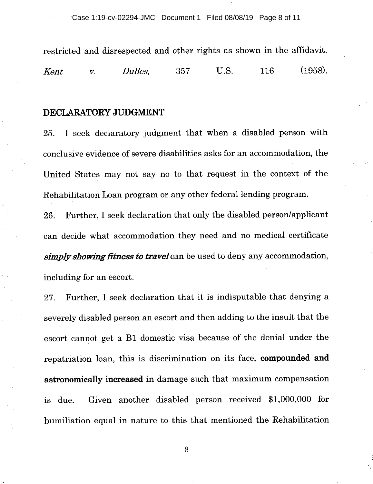restricted and disrespected and other rights as shown in the affidavit. *Kent v. Dulles,* 357 U.S. 116 (1958).

### **DECLARATORY JUDGMENT**

I seek declaratory judgment that when a disabled person with 25. conclusive evidence of severe disabilities asks for an accommodation, the United States may not say no to that request in the context of the Rehabilitation Loan program or any other federal lending program.

Further, I seek declaration that only the disabled person/applicant 26. can decide what accommodation they need and no medical certificate *simply showing fitness to travel* can be used to deny any accommodation, including for an escort.

Further, I seek declaration that it is indisputable that denying a 27. severely disabled person an escort and then adding to the insult that the escort cannot get a B1 domestic visa because of the denial under the repatriation loan, this is discrimination on its face, **compounded and astronomically increased** in damage such that maximum compensation is due. Given another disabled person received \$1,000,000 for humiliation equal in nature to this that mentioned the Rehabilitation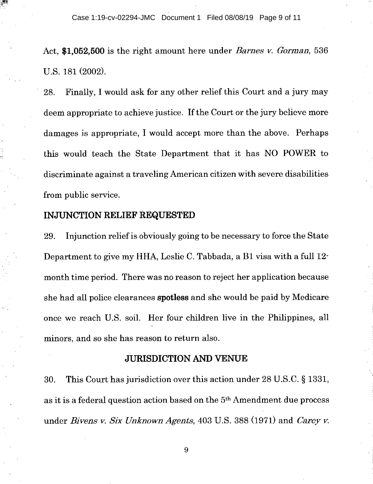Case 1:19-cv-02294-JMC Document 1 Filed 08/08/19 Page 9 of 11

Act, **\$1,052,500** is the right amount here under *Barnes v. Gorman,* 536 U.S. 181 (2002).

Finally, I would ask for any other relief this Court and a jury may 28. deem appropriate to achieve justice. If the Court or the jury believe more damages is appropriate, I would accept more than the above. Perhaps this would teach the State Department that it has NO POWER to discriminate against a traveling American citizen with severe disabilities from public service.

# **INJUNCTION RELIEF REQUESTED**

Injunction relief is obviously going to be necessary to force the State 29. Department to give my HHA, Leslie C. Tabbada, a B1 visa with a full 12 month time period. There was no reason to reject her application because she had all police clearances spotless and she would be paid by Medicare once we reach U.S. soil. Her four children live in the Philippines, all minors, and so she has reason to return also.

# **JURISDICTION AND VENUE**

30. This Court has jurisdiction over this action under 28 U.S.C. § 1331, as it is a federal question action based on the 5th Amendment due process under *Bivens v. Six Unknown Agents,* 403 U.S. 388 (1971) and *Carey v.*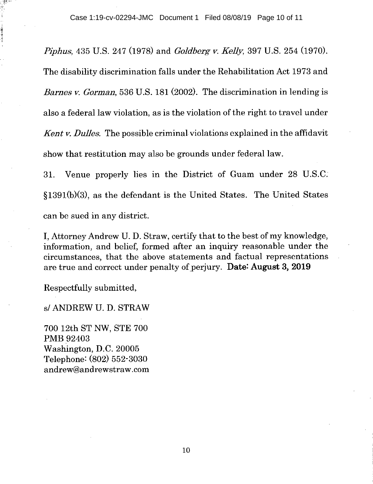*Piphus,* 435 U.S. 247 (1978) and *Goldberg v. Kelly,* 397 U.S. 254 (1970). The disability discrimination falls under the Rehabilitation Act 1973 and *Barnes v. Gorman,* 536 U.S. 181 (2002). The discrimination in lending is also a federal law violation, as is the violation of the right to travel under *Kent v. Dulles.* The possible criminal violations explained in the affidavit show that restitution may also be grounds under federal law.

31. Venue properly lies in the District of Guam under 28 U.S.C. §1391(b)(3), as the defendant is the United States. The United States can be sued in any district.

I, Attorney Andrew U. D. Straw, certify that to the best of my knowledge, information, and belief, formed after an inquiry reasonable under the circumstances, that the above statements and factual representations are true and correct under penalty of perjury. Date: August 3, 2019

Respectfully submitted,

### s/ ANDREW U. D. STRAW

700 12th ST NW, STE 700 PMB 92403 Washington, D.C. 20005 Telephone: (802) 552-3030 andrew@andrewstraw.com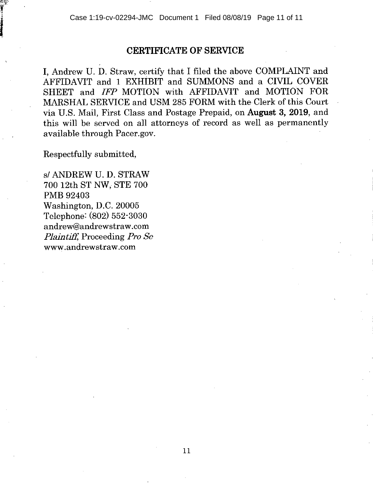# **CERTIFICATE OF SERVICE**

I, Andrew U. D. Straw, certify that I filed the above COMPLAINT and AFFIDAVIT and 1 EXHIBIT and SUMMONS and a CIVIL COVER SHEET and *IFP* MOTION with AFFIDAVIT and MOTION FOR MARSHAL SERVICE and USM 285 FORM with the Clerk of this Court via U.S. Mail, First Class and Postage Prepaid, on **August 3, 2019,** and this will be served on all attorneys of record as well as permanently available through Pacer.gov.

Respectfully submitted,

s/ ANDREW U. D. STRAW 700 12th ST NW, STE 700 PMB 92403 Washington, D.C. 20005 Telephone: (802) 552-3030 andrew@andrewstraw.com *Plaintiff,* Proceeding *Pro Se*  www.andrewstraw.com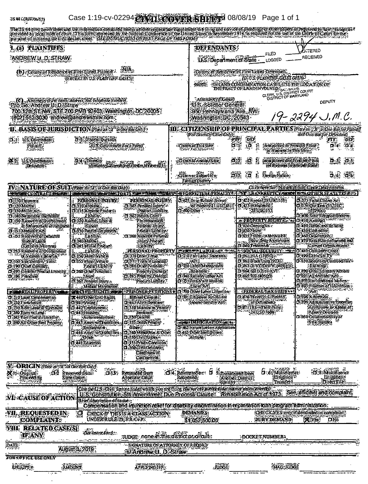| JS:441 (Rov/0617)                                                                                     |                                                                                                                                                                                                                                                                                        |                                                                                                                                          |                                                                                                                                                                                                 | Case 1:19-cv-02294@MAIRCOWTER SHERW 08/08/19 Page 1 of 1                                                                                                                         |                                                                                                              |
|-------------------------------------------------------------------------------------------------------|----------------------------------------------------------------------------------------------------------------------------------------------------------------------------------------------------------------------------------------------------------------------------------------|------------------------------------------------------------------------------------------------------------------------------------------|-------------------------------------------------------------------------------------------------------------------------------------------------------------------------------------------------|----------------------------------------------------------------------------------------------------------------------------------------------------------------------------------|--------------------------------------------------------------------------------------------------------------|
|                                                                                                       | puriose of induling the EUCLARGE THE DSTRUCTIONS ON NEXT PAGE OF THIS FORK?                                                                                                                                                                                                            |                                                                                                                                          |                                                                                                                                                                                                 |                                                                                                                                                                                  |                                                                                                              |
| <b>1. (a) TLAINTIFFS</b><br>ANDREWU, D. STRAW                                                         |                                                                                                                                                                                                                                                                                        |                                                                                                                                          | <b>DEFENDANTS</b>                                                                                                                                                                               | FILED<br>U.S. Department of State<br>LOGGED                                                                                                                                      | <b>ANTERED</b><br>RECEIVED                                                                                   |
|                                                                                                       | (b) Comyor Raid Learn in The Pilmer.<br><b>{EXCERIM US\$PLAINTIFF.GASES}</b>                                                                                                                                                                                                           | WA.                                                                                                                                      | NOTE:                                                                                                                                                                                           | Couny of Residence of First Land Detendent<br><b>UNIVS PLAINTIFF CASES ONING</b><br>MNIAND CONDEMNATION CASES AISE THE LOCATION OF<br>THE TIME TOP LAND INVOLVED TO US THE PLAYS |                                                                                                              |
|                                                                                                       | C) A TO CONTRACT AND THE CONTRACT OF CONTRACT ON THE CONTRACT OF CONTRACT OF CONTRACT OF CONTRACT OF CONTRACT A<br>700-12th ST-NW:STE700-PMB 92403. Washington, DC 20005.<br>(802) 552-3030 andrew@andrewstraw.com                                                                     |                                                                                                                                          | Altoniejs (JAnoko)<br>U.S. Solicitor General<br>950 Rennsylvania Ave, RW.<br>Washington, DC, 20543                                                                                              |                                                                                                                                                                                  | DEPUTY<br>19-2294 J.M.C.                                                                                     |
|                                                                                                       | <b>II. BASIS OF JURISDICTION PLETTY TO PERDICI</b>                                                                                                                                                                                                                                     |                                                                                                                                          | (For Diversity Case Conf);                                                                                                                                                                      | til Citizenship of Principal Parties <i>ple en 2006 betophal</i> )                                                                                                               | tha One Ba Jor Defendant)                                                                                    |
| US Covenment<br>$\sigma_{\rm eff}$<br>PHÈING)<br>SEASSA                                               | d'à Frans Grand                                                                                                                                                                                                                                                                        | AUS Gowmmen Not a Party)                                                                                                                 |                                                                                                                                                                                                 | $P^{\prime}(\mathbf{P})$<br>"DEF<br>$\mathfrak{g}^{\ast}$<br>āĴ.<br>Incomporated by Principal Pieces<br>Ţ<br><b>SCB miner In This SEE?</b>                                       | ÷PTF :<br>:DEP<br>04 OK                                                                                      |
| US OW <del>OMANE</del><br>多さ<br>Determinist                                                           | <b>DIA HIDAYESHY</b>                                                                                                                                                                                                                                                                   | weniv<br>Minicae Salembard Partes In Ten III)                                                                                            | Chinacochimicship                                                                                                                                                                               | in a prevential presentation<br>: g<br>導變<br>$\frac{1}{2}$                                                                                                                       | ਰੇ ਕੇ ਸੁੱਕੇ<br>(of Busines In who that State)                                                                |
|                                                                                                       |                                                                                                                                                                                                                                                                                        |                                                                                                                                          | းငါးပြီး ဂဝ၂ နှစ်ပြုလော် ၅<br>Foreign Country                                                                                                                                                   | 澬<br>Roolen Nafkin.<br>$\mathbf{a}$<br>$\frac{1}{2}$                                                                                                                             | 黃露 海猴                                                                                                        |
|                                                                                                       | IVANATURE OF SUIT (Processex (21 Oct Ber 03 (5)<br><b>CONTRACTOR</b> CONTRACTOR CONTRACTO DE LA CORRECTION DE LA CONTRACTO DE LA CONTRACTO DE LA CONTRACTO DE LA CONTRACTO DE LA CONTRACTO DE LA CONTRACTO DE LA CONTRACTO DE LA CONTRACTO DE LA CONTRACTO DE LA CONTRACTO DE LA CONTR |                                                                                                                                          | <u>#FORFLINNERENALIW</u>                                                                                                                                                                        |                                                                                                                                                                                  | Click there for Nature of Suit Crete Descriptions                                                            |
| <b>IT ITO The urspect</b><br>DE120 Martin<br>DE30 Miller Act.<br>TION-FINE ISHINI<br>TIOOLAN YAQAN MI | PERSONAL/INJURY<br>d To Amary<br><b>DAT's Amman Product</b>                                                                                                                                                                                                                            | <b>PERSONAL INJURY</b><br>i 1585 Nersten Lafary<br><b>SPARGETHAMING</b><br>- Тэвгный сло                                                 | <b>CIRCS Orte Related School</b><br>o di manguskan                                                                                                                                              | 0.422 Appel 28:USC-1585<br>E COMMERCIA                                                                                                                                           | OLIF Falsc Galins Act<br>Ohrendraguese<br>$-32660$<br>film State Responsibilition                            |
| & Enforcement of Judgment<br>D=151 Medicare Act                                                       | L. LEND.<br>HIDDASAM UGIX<br>Slàine.<br>O Hoffedem Garakeek.                                                                                                                                                                                                                           | PhimbersH<br>Perfonal Imurv<br>Product Library                                                                                           |                                                                                                                                                                                                 | edi (i) keelii (o) i (eesen<br>fi X20 Cowardin :<br>OCOPANI :                                                                                                                    | <b>CHIO ARREST LAPPER AND INC.</b><br>O M30 Bank and Balland<br>ci (SO Coffinance)                           |
| D-152 Recovery of Database<br><b>Sindon's center</b><br>(Exclude Voterant)                            | Labilive<br>13 MOMercian<br><b>Class Management</b>                                                                                                                                                                                                                                    | O 368 Asberts Perimal,<br><b>May Prough</b><br>. L'EGUILLY.                                                                              |                                                                                                                                                                                                 | OSISPHIN-ADITURES<br>---- ENew Drug Application<br>D 240,1 750 m.n.k.                                                                                                            | d'A60 Departaton a<br>CINTURISK COmmitteened and<br>Comm Ormination :                                        |
| <b>THURSON TOWAY</b><br>di Veleran s Benetiks over<br>O HO Spetibility Since                          | . "Libility".<br>å isomesivere<br>CISS NOOLVOUS.                                                                                                                                                                                                                                       | <b>PERSONAL PROPERTY</b><br><b>OUTODINATION</b><br>$(73)$ ) $1$ $\mathrm{min}$ in $\mathrm{Lending}$ .<br><b>CLISSO OUR Periodistics</b> | <b>EXAMPLE LABOR CONTROL</b><br>O 710 Fairlabor Standards<br>6M.<br>d 2011bit Name went                                                                                                         | * SOCIAL SECURITY * *<br>сі (Жірна (1395 г.).<br>11 862 Black Lung (921)<br><b>DISSIDINGDIWW (400 D)</b>                                                                         | d: wocas me crem<br>O, 00 CANASHTV<br>D 850 SSon new Commodities<br><b>EXHAND</b>                            |
| E : 90 OULE Combet<br>DRYS Compet Profes Institute<br><b>ONG PARTIE</b>                               | Product Lisanity<br><b>DESCRIPTION OF</b><br><b>Second Columns</b><br>พัฒนท์พัญธ์ตัดส                                                                                                                                                                                                  | Projecty Damage<br>OKSPANDLAND<br>"ProdetLobility                                                                                        | Rebbbons.<br>O WOREIGN LESS NOT<br>OWIENIWA NAIA!<br>ASCAN                                                                                                                                      | d sa shorite kvi<br>ci rzeństwowy                                                                                                                                                | G 390 OINI SERION ACION<br>CX9 Airicultum Acts<br>Stadt Environmental Aufres<br>5% <del>fram friend</del> au |
| <b>UNION REAL PROPERTY OF LAST</b><br><b>DIOLAH CHELLING</b><br>D.220 Forclosum.                      | <b>MICRIER(CRESS-S)</b><br>THE COLORED STATES                                                                                                                                                                                                                                          | <b>¤PRISONER PETHTIONS*</b><br>Hibers Corpus:<br>TKINGKONANI                                                                             | 21790 Other Labor Lifestion<br>O WILL Notcyce Real Handi<br>Income Sacurity Act:                                                                                                                | <b>A PERDENAL TAX SUITS &amp;</b><br>ti Grothres (U.S.P. Hindr.<br>or Date relation                                                                                              | ONK A Michael<br>Citoso Administrative Procedure                                                             |
| <b>DE20RemLeast Tremm</b><br>D 200 Tons to Land<br>O 245 Ton Product to billion                       | 5.442 Employment<br>Disa3 Housing,"<br>Accommodations.                                                                                                                                                                                                                                 | OB10 Malmeto Vechor<br>Senenzo <sup>l</sup><br><b>0,330 Oroški</b>                                                                       | <b>SALE OF BIRTICHALL TO AN ACTION</b>                                                                                                                                                          | <b>U STILLS — THINK ON</b><br>26.USO.7609.                                                                                                                                       | Acthanes, a Appal of:<br>Area pDecison<br>Desso Constitutionality of                                         |
| D 290 All Other Real Property.                                                                        | 13 Aniet will sabilities<br>-Kmploymen.<br>D.446 Amer w Disabilities<br>) Odin                                                                                                                                                                                                         | EITS DANK HAMP<br>Oine:<br><b>S40 Manufacture &amp; Other</b><br>USOUWE) u t                                                             | CI:462 Nature lization Application<br>d 465 Odier final größen.<br>Adode",                                                                                                                      |                                                                                                                                                                                  | <b>SHe Slottles</b>                                                                                          |
|                                                                                                       | D. 448 Education                                                                                                                                                                                                                                                                       | <b>03351 Ron Condition</b><br>O 360 GWI Definer<br>Könffinns or<br>Confroement?                                                          |                                                                                                                                                                                                 |                                                                                                                                                                                  |                                                                                                              |
| V ORIGIN (Plate of Wild On Box Only)<br><b>Natro Objimal:</b><br>Proceeding                           | :02 Removed from:<br>State Court.                                                                                                                                                                                                                                                      | DESY Remanded from<br>Appellate Court                                                                                                    | $\overrightarrow{OA}$ . Reinstated are: $\overrightarrow{OA}$<br>Reopened:                                                                                                                      | D:62 Mulidistrict<br>Suransiched (166)<br>ungitoro<br>Troncer<br>Another District?<br>(steelt)                                                                                   | vD)83Multidismer<br>Hughtons<br>Direct File                                                                  |
| <b>CAUSE OF ACTION</b>                                                                                | Brief description of cause:                                                                                                                                                                                                                                                            |                                                                                                                                          | Gite De U.S. (264) Statute under which you are filing <i>flor not exe parak tonal statute unless alwre</i> r<br>U.S. Gonstitution, Strivamendment Due Process Clause Renabili atom Act of 1973. | Compensation and immedian relief for disability discrimination in repairation foamplogram administration.                                                                        | See effidavit and complaint:                                                                                 |
| VII. REQUESTED IN<br><b>COMPLAINT:</b>                                                                | ्च                                                                                                                                                                                                                                                                                     | <b>CHECK IF THIS IS A CLASS ACTION:</b><br>UNDERRULE 23, ERICHT                                                                          | <b>DEMAND'S</b><br>\$1,052,500.00                                                                                                                                                               | <b>GURY DEMAND:</b>                                                                                                                                                              | CHECKYES only if demonded in complaint.<br>汉文选<br><b>DNG</b>                                                 |
| VIII RELATED CASE/S)<br><b>IFANY</b>                                                                  | :<br>เรื้อะกิเทพะตัดเรา:                                                                                                                                                                                                                                                               | :JUDGE: none m:mis district or circuity                                                                                                  |                                                                                                                                                                                                 | : DOCKET.NUMBER>                                                                                                                                                                 |                                                                                                              |
| <b>PATE</b>                                                                                           | Auguste, 2019                                                                                                                                                                                                                                                                          | SIGNATURE OF ATTORNEY OF RECORD<br>S/Andrew U. D. Straw                                                                                  |                                                                                                                                                                                                 |                                                                                                                                                                                  |                                                                                                              |
| <b>FOR OFFICE USE ONLY</b><br>EECENTER                                                                | <b>ANOUNT</b>                                                                                                                                                                                                                                                                          | <b>APPLY NG FFF</b>                                                                                                                      | <b>JÜDÖN</b>                                                                                                                                                                                    | <b>SAGE TOBOL</b>                                                                                                                                                                |                                                                                                              |
| لحدجت                                                                                                 |                                                                                                                                                                                                                                                                                        |                                                                                                                                          |                                                                                                                                                                                                 |                                                                                                                                                                                  |                                                                                                              |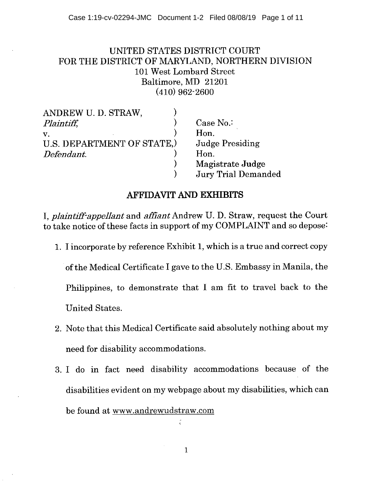# UNITED STATES DISTRICT COURT FOR THE DISTRICT OF MARYLAND, NORTHERN DIVISION 101 West Lombard Street Baltimore, MD 21201 (410) 962-2600

| ANDREW U. D. STRAW,        |                            |
|----------------------------|----------------------------|
| Plaintiff,                 | Case $No.$                 |
| V.                         | Hon.                       |
| U.S. DEPARTMENT OF STATE.) | <b>Judge Presiding</b>     |
| Defendant.                 | Hon.                       |
|                            | Magistrate Judge           |
|                            | <b>Jury Trial Demanded</b> |

# **AFFIDAVIT AND EXHIBITS**

*I, plaintiff-appellant* and *affiant* Andrew U. D. Straw, request the Court to take notice of these facts in support of my COMPLAINT and so depose:

1. I incorporate by reference Exhibit 1, which is a true and correct copy

of the Medical Certificate I gave to the U.S. Embassy in Manila, the Philippines, to demonstrate that I am fit to travel back to the United States.

- 2. Note that this Medical Certificate said absolutely nothing about my need for disability accommodations.
- I do in fact need disability accommodations because of the disabilities evident on my webpage about my disabilities, which can be found at www.andrewudstraw.com

 $\mathbf{1}$ 

à,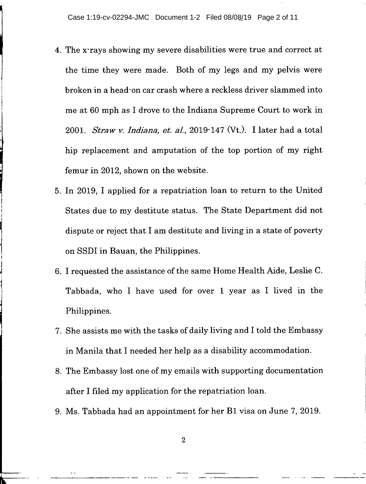- The x-rays showing my severe disabilities were true and correct at the time they were made. Both of my legs and my pelvis were broken in a head-on car crash where a reckless driver slammed into me at 60 mph as I drove to the Indiana Supreme Court to work in 2001. *Straw v. Indiana, et. al.,* 2019-147 (Vt.). I later had a total hip replacement and amputation of the top portion of my right femur in 2012, shown on the website.
- In 2019, I applied for a repatriation loan to return to the United States due to my destitute status. The State Department did not dispute or reject that I am destitute and living in a state of poverty on SSDI in Bauan, the Philippines.
- I requested the assistance of the same Home Health Aide, Leslie C. Tabbada, who I have used for over 1 year as I lived in the Philippines.
- She assists me with the tasks of daily living and I told the Embassy in Manila that I needed her help as a disability accommodation.
- The Embassy lost one of my emails with supporting documentation after I filed my application for the repatriation loan.
- Ms. Tabbada had an appointment for her B1 visa on June 7, 2019.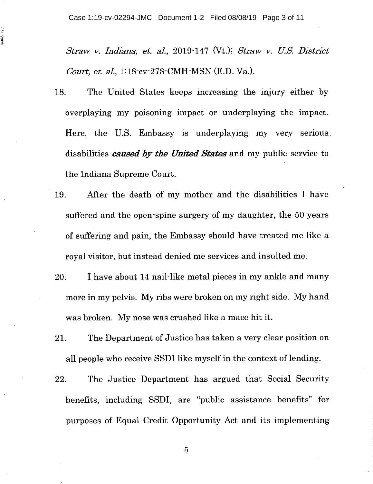日常の豪華

*Straw v. Indiana, et al.,* 2019-147 (Vt.); *Straw v. US. District Court, et. al.,* 1:18-cv-278-CMH-MSN (E.D. Va.).

- 18. The United States keeps increasing the injury either by overplaying my poisoning impact or underplaying the impact. Here, the U.S. Embassy is underplaying my very serious disabilities *caused by the United States* and my public service to the Indiana Supreme Court.
- After the death of my mother and the disabilities I have 19. suffered and the open-spine surgery of my daughter, the 50 years of suffering and pain, the Embassy should have treated me like a royal visitor, but instead denied me services and insulted me.
- 20. I have about 14 nail-like metal pieces in my ankle and many more in my pelvis. My ribs were broken on my right side. My hand was broken. My nose was crushed like a mace hit it.
- The Department of Justice has taken a very clear position on 21. all people who receive SSDI like myself in the context of lending.
- 22. The Justice Department has argued that Social Security benefits, including SSDI, are "public assistance benefits" for purposes of Equal Credit Opportunity Act and its implementing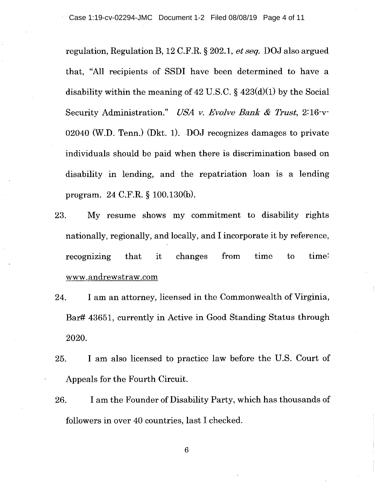regulation, Regulation B, 12 C.F.R. § 202.1, *et seq.* DOJ also argued that, "All recipients of SSDI have been determined to have a disability within the meaning of 42 U.S.C.  $\S$  423(d)(1) by the Social Security Administration." *USA v. Evolve Bank & Trust,* 2:16-v-02040 (W.D. Tenn.) (Dkt. 1). DOJ recognizes damages to private individuals should be paid when there is discrimination based on disability in lending, and the repatriation loan is a lending program. 24 C.F.R. § 100.130(b).

- My resume shows my commitment to disability rights 23. nationally, regionally, and locally, and I incorporate it by reference, recognizing that it changes from time to time: www.andrewstraw.com
- I am an attorney, licensed in the Commonwealth of Virginia, 24. Bar# 43651, currently in Active in Good Standing Status through 2020.
- I am also licensed to practice law before the U.S. Court of 25. Appeals for the Fourth Circuit.
- I am the Founder of Disability Party, which has thousands of 26. followers in over 40 countries, last I checked.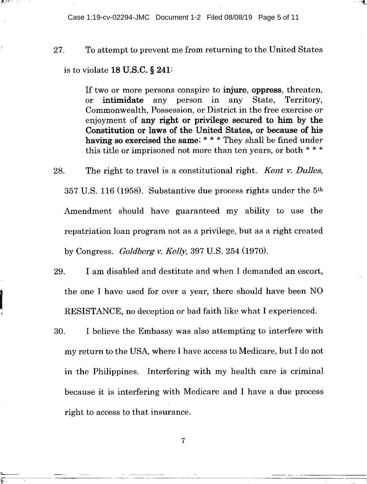Case 1:19-cv-02294-JMC Document 1-2 Filed 08/08/19 Page 5 of 11

27. To attempt to prevent me from returning to the United States is to violate 18 U.S.C. § 241:

> If two or more persons conspire to injure, oppress, threaten, or intimidate any person in any State, Territory, Commonwealth, Possession, or District in the free exercise or enjoyment of any right or privilege secured to him by the Constitution or laws of the United States, or because of his having so exercised the same; \* \* \* They shall be fined under this title or imprisoned not more than ten years, or both \* \* \*

- The right to travel is a constitutional right. *Kent v. Dulles,*  28. 357 U.S. 116 (1958). Substantive due process rights under the  $5<sup>th</sup>$ Amendment should have guaranteed my ability to use the repatriation loan program not as a privilege, but as a right created by Congress. *Goldberg v. Kelly,* 397 U.S. 254 (1970).
- 29. I am disabled and destitute and when I demanded an escort, the one I have used for over a year, there should have been NO RESISTANCE, no deception or bad faith like what I experienced.
- 30. I believe the Embassy was also attempting to interfere with my return to the USA, where I have access to Medicare, but I do not in the Philippines. Interfering with my health care is criminal because it is interfering with Medicare and I have a due process right to access to that insurance.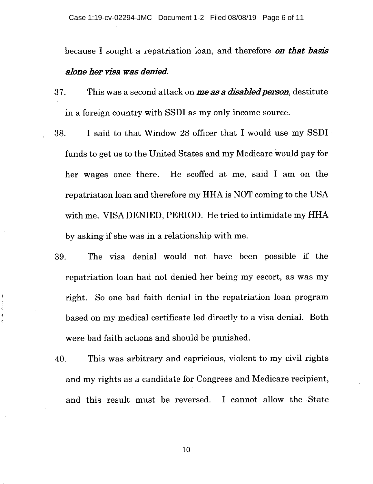because I sought a repatriation loan, and therefore *on that basis alone her visa was denied.* 

- 37. This was a second attack on *me as a disabled person,* destitute in a foreign country with SSDI as my only income source.
- I said to that Window 28 officer that I would use my SSDI 38. funds to get us to the United States and my Medicare would pay for her wages once there. He scoffed at me, said I am on the repatriation loan and therefore my HHA is NOT coming to the USA with me. VISA DENIED, PERIOD. He tried to intimidate my HHA by asking if she was in a relationship with me.
- The visa denial would not have been possible if the 39. repatriation loan had not denied her being my escort, as was my right. So one bad faith denial in the repatriation loan program based on my medical certificate led directly to a visa denial. Both were bad faith actions and should be punished.
- This was arbitrary and capricious, violent to my civil rights 40. and my rights as a candidate for Congress and Medicare recipient, and this result must be reversed. I cannot allow the State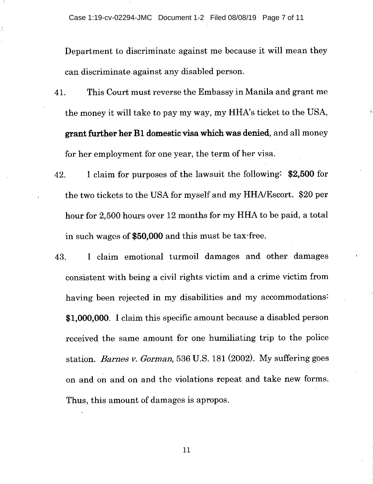Department to discriminate against me because it will mean they can discriminate against any disabled person.

- This Court must reverse the Embassy in Manila and grant me 41. the money it will take to pay my way, my HHA's ticket to the USA, **grant further her B1 domestic visa which was denied,** and all money for her employment for one year, the term of her visa.
- 42. I claim for purposes of the lawsuit the following: **\$2,500** for the two tickets to the USA for myself and my HHA/Escort. \$20 per hour for 2,500 hours over 12 months for my **HHA** to be paid, a total in such wages of **\$50,000** and this must be tax-free.
- I claim emotional turmoil damages and other damages 43. consistent with being a civil rights victim and a crime victim from having been rejected in my disabilities and my accommodations: **\$1,000,000. I** claim this specific amount because a disabled person received the same amount for one humiliating trip to the police station. *Barnes v. Gorman,* 536 U.S. 181 (2002). My suffering goes on and on and on and the violations repeat and take new forms. Thus, this amount of damages is apropos.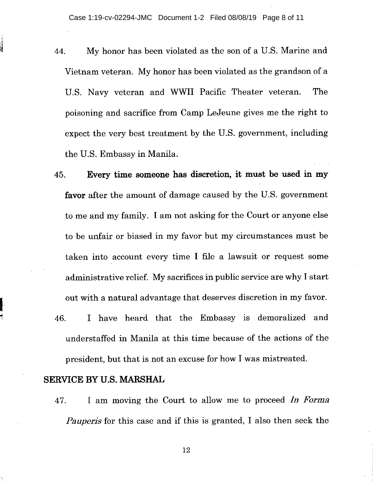- My honor has been violated as the son of a U.S. Marine and 44. Vietnam veteran. My honor has been violated as the grandson of a U.S. Navy veteran and WWII Pacific Theater veteran. The poisoning and sacrifice from Camp LeJeune gives me the right to expect the very best treatment by the U.S. government, including the U.S. Embassy in Manila.
- 45. **Every time someone has discretion, it must be used in my favor** after the amount of damage caused by the U.S. government to me and my family. I am not asking for the Court or anyone else to be unfair or biased in my favor but my circumstances must be taken into account every time I file a lawsuit or request some administrative relief. My sacrifices in public service are why I start out with a natural advantage that deserves discretion in my favor.
- I have heard that the Embassy is demoralized and 46. understaffed in Manila at this time because of the actions of the president, but that is not an excuse for how I was mistreated.

# **SERVICE BY U.S. MARSHAL**

47. I am moving the Court to allow me to proceed *In Forma Pauper's* for this case and if this is granted, I also then seek the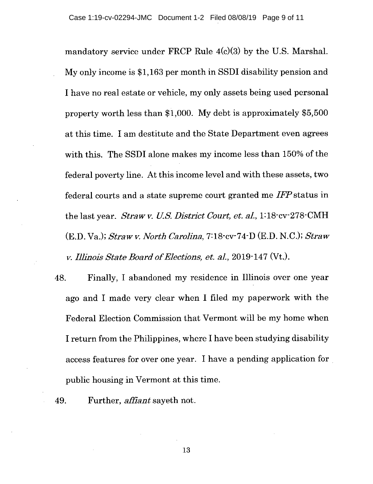mandatory service under FRCP Rule  $4(c)(3)$  by the U.S. Marshal. My only income is \$1,163 per month in SSDI disability pension and I have no real estate or vehicle, my only assets being used personal property worth less than \$1,000. My debt is approximately \$5,500 at this time. I am destitute and the State Department even agrees with this. The SSDI alone makes my income less than 150% of the federal poverty line. At this income level and with these assets, two federal courts and a state supreme court granted me *IFP* status in the last year. *Straw v. LI.S. District Court, et. al,1:18-cv-278-CMH*  (F.D. Va.); *Straw v. North Carolina,* 7:18-cv-74-D (E.D. N.C.); *Straw it. Illinois State Board of Elections, et. al,* 2019-147 (Vt.).

- Finally, I abandoned my residence in Illinois over one year 48. ago and I made very clear when I filed my paperwork with the Federal Election Commission that Vermont will be my home when I return from the Philippines, where I have been studying disability access features for over one year. I have a pending application for public housing in Vermont at this time.
- Further, *affiant* sayeth not. 49.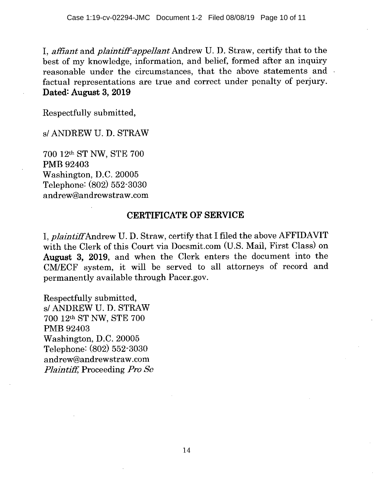I, *affiant* and *plaintiff-appellant* Andrew U. D. Straw, certify that to the best of my knowledge, information, and belief, formed after an inquiry reasonable under the circumstances, that the above statements and factual representations are true and correct under penalty of perjury. Dated: August 3, 2019

Respectfully submitted,

s/ ANDREW U. D. STRAW

700 12th ST NW, STE 700 PMB 92403 Washington, D.C. 20005 Telephone: (802) 552-3030 andrew@andrewstraw.com

# CERTIFICATE OF SERVICE

I, *plaintiff* Andrew U. D. Straw, certify that I filed the above AFFIDAVIT with the Clerk of this Court via Docsmit.com (U.S. Mail, First Class) on August 3, 2019, and when the Clerk enters the document into the CM/ECF system, it will be served to all attorneys of record and permanently available through Pacer.gov.

Respectfully submitted, s/ ANDREW U. D. STRAW 700 12th ST NW, STE 700 PMB 92403 Washington, D.C. 20005 Telephone: (802) 552-3030 andrew@andrewstraw.com *Plaintiff,* Proceeding *Pro Sc*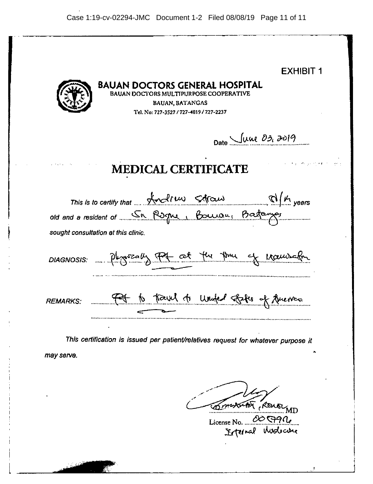| <b>EXHIBIT 1</b><br><b>BAUAN DOCTORS GENERAL HOSPITAL</b><br>BAUAN DOCTORS MULTIPURPOSE COOPERATIVE<br><b>BAUAN, BATANGAS</b><br>Tel. No: 727-3527 / 727-4019 / 727-2237                                                                         |
|--------------------------------------------------------------------------------------------------------------------------------------------------------------------------------------------------------------------------------------------------|
| Date June 03, 2019                                                                                                                                                                                                                               |
| state of a company of the same<br><b>MEDICAL CERTIFICATE</b>                                                                                                                                                                                     |
| This is to certify that $\mathcal{A}$ and the $\mathcal{A}$ $\mathcal{A}$ $\mathcal{A}$ $\mathcal{A}$ $\mathcal{A}$ $\mathcal{A}$ $\mathcal{A}$ years<br>old and a resident of Sn Rogne, Bourou, Barbangs<br>sought consultation at this clinic. |
| DIAGNOSIS: Physically For at the three of Manuscript                                                                                                                                                                                             |
| It to touch to under states of fuerce<br><b>REMARKS:</b>                                                                                                                                                                                         |
| This certification is issued per patient/relatives request for whatever purpose it<br>may serve.                                                                                                                                                 |

Compactor Rouse

License No. Internal Modecome (99(14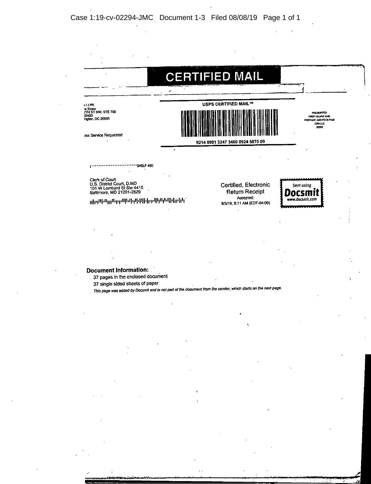|                                                                                                      | <b>CERTIFIED MAIL</b>                 |                                                |                                                                          |
|------------------------------------------------------------------------------------------------------|---------------------------------------|------------------------------------------------|--------------------------------------------------------------------------|
| 1-1-1-10<br>w Straw<br><b>ZTH ST NW, STE 700</b><br>22403<br>ington, DC 20005                        |                                       | <b>USPS CERTIFIED MAIL™</b>                    | PRESORTED<br>FIRST-CLASS MAIL<br>POSTAGE AND FEES PAID<br>CAILC<br>22202 |
| ass Service Requested                                                                                | 9214 8901 3247 3400 0924 5875 09<br>٠ |                                                |                                                                          |
| <b>SNGLP 480</b>                                                                                     |                                       |                                                |                                                                          |
| Clerk of Court<br>U.S. District Court, D.MD<br>101 W Lombard St Ste 4415<br>Baltimore, MD 21201-2629 |                                       | Certified, Electronic<br><b>Return Receipt</b> | Sent using<br>ocsn                                                       |
| ՝ լլ <del>կ</del> ւլԱիՍլլյԱւթլոԱիժիզնին լիլոԱիկիկիկիկիլ՝                                             |                                       | Accepted:<br>8/3/19, 8:11 AM (EDT-04:00)       | www.docsmit.com                                                          |

 $\cdot$ 

#### **Document Information:**

37 pages in the enclosed document

37 single sided sheets of paper

This page was added by Docsmft and is not pert of **the** document from the sender. Whit') starts on the next page.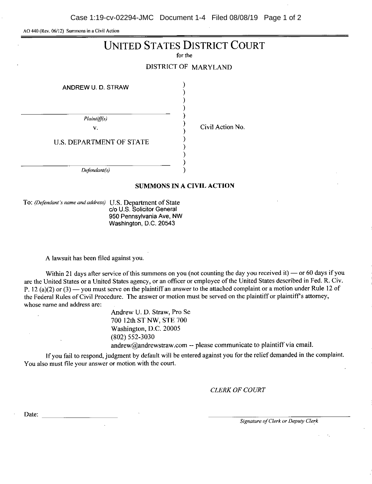Case 1:19-cv-02294-JMC Document 1-4 Filed 08/08/19 Page 1 of 2

AO 440 (Rev. 06/12) Summons in a Civil Action

# UNITED STATES DISTRICT COURT

for the

DISTRICT OF MARYLAND

ANDREW U. D. STRAW

Plaintiff(s)

V.

Civil Action No.

U.S. DEPARTMENT OF STATE

Defendant(s)

#### SUMMONS IN A CIVIL ACTION

To: (Defendant's name and address) U.S. Department of State do U.S. Solicitor General 950 Pennsylvania Ave, NW Washington, D.C. 20543

A lawsuit has been filed against you.

Within 21 days after service of this summons on you (not counting the day you received it) — or 60 days if you are the United States or a United States agency, or an officer or employee of the United States described in Fed. R. Civ. P. 12 (a)(2) or (3) — you must serve on the plaintiff an answer to the attached complaint or a motion under Rule 12 of the Federal Rules of Civil Procedure. The answer or motion must be served on the plaintiff or plaintiff's attorney, whose name and address are:

> Andrew U. D. Straw, Pro Se 700 12th ST NW, STE 700 Washington, D.C. 20005 (802) 552-3030 andrew@andrewstraw.com--please communicate to plaintiff via email.

If you fail to respond, judgment by default will be entered against you for the relief demanded in the complaint. You also must file your answer or motion with the court.

*CLERK OF COURT* 

Date:

Signature of Clerk or Deputy Clerk